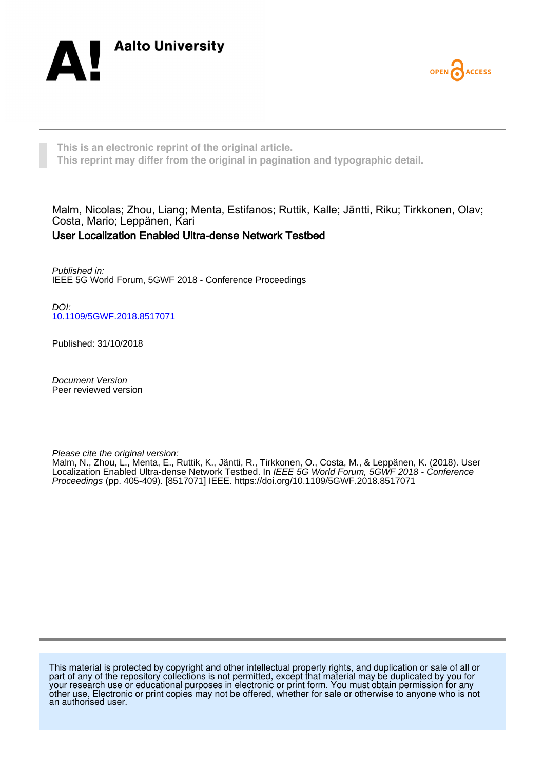



**This is an electronic reprint of the original article. This reprint may differ from the original in pagination and typographic detail.**

Malm, Nicolas; Zhou, Liang; Menta, Estifanos; Ruttik, Kalle; Jäntti, Riku; Tirkkonen, Olav; Costa, Mario; Leppänen, Kari

# User Localization Enabled Ultra-dense Network Testbed

Published in: IEEE 5G World Forum, 5GWF 2018 - Conference Proceedings

DOI: [10.1109/5GWF.2018.8517071](https://doi.org/10.1109/5GWF.2018.8517071)

Published: 31/10/2018

Document Version Peer reviewed version

Please cite the original version:

Malm, N., Zhou, L., Menta, E., Ruttik, K., Jäntti, R., Tirkkonen, O., Costa, M., & Leppänen, K. (2018). User Localization Enabled Ultra-dense Network Testbed. In IEEE 5G World Forum, 5GWF 2018 - Conference Proceedings (pp. 405-409). [8517071] IEEE. <https://doi.org/10.1109/5GWF.2018.8517071>

This material is protected by copyright and other intellectual property rights, and duplication or sale of all or part of any of the repository collections is not permitted, except that material may be duplicated by you for your research use or educational purposes in electronic or print form. You must obtain permission for any other use. Electronic or print copies may not be offered, whether for sale or otherwise to anyone who is not an authorised user.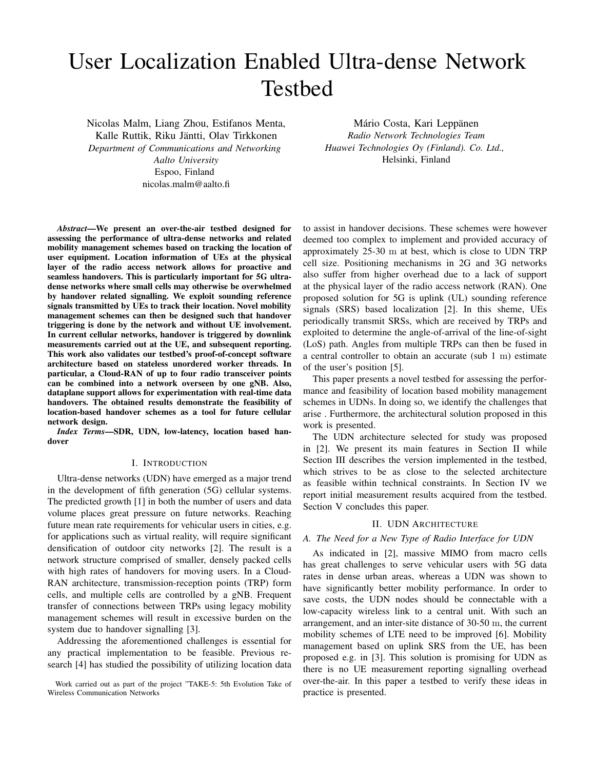# User Localization Enabled Ultra-dense Network Testbed

Nicolas Malm, Liang Zhou, Estifanos Menta, Kalle Ruttik, Riku Jäntti, Olav Tirkkonen *Department of Communications and Networking Aalto University* Espoo, Finland nicolas.malm@aalto.fi

*Abstract*—We present an over-the-air testbed designed for assessing the performance of ultra-dense networks and related mobility management schemes based on tracking the location of user equipment. Location information of UEs at the physical layer of the radio access network allows for proactive and seamless handovers. This is particularly important for 5G ultradense networks where small cells may otherwise be overwhelmed by handover related signalling. We exploit sounding reference signals transmitted by UEs to track their location. Novel mobility management schemes can then be designed such that handover triggering is done by the network and without UE involvement. In current cellular networks, handover is triggered by downlink measurements carried out at the UE, and subsequent reporting. This work also validates our testbed's proof-of-concept software architecture based on stateless unordered worker threads. In particular, a Cloud-RAN of up to four radio transceiver points can be combined into a network overseen by one gNB. Also, dataplane support allows for experimentation with real-time data handovers. The obtained results demonstrate the feasibility of location-based handover schemes as a tool for future cellular network design.

*Index Terms*—SDR, UDN, low-latency, location based handover

## I. INTRODUCTION

Ultra-dense networks (UDN) have emerged as a major trend in the development of fifth generation (5G) cellular systems. The predicted growth [1] in both the number of users and data volume places great pressure on future networks. Reaching future mean rate requirements for vehicular users in cities, e.g. for applications such as virtual reality, will require significant densification of outdoor city networks [2]. The result is a network structure comprised of smaller, densely packed cells with high rates of handovers for moving users. In a Cloud-RAN architecture, transmission-reception points (TRP) form cells, and multiple cells are controlled by a gNB. Frequent transfer of connections between TRPs using legacy mobility management schemes will result in excessive burden on the system due to handover signalling [3].

Addressing the aforementioned challenges is essential for any practical implementation to be feasible. Previous research [4] has studied the possibility of utilizing location data

Work carried out as part of the project "TAKE-5: 5th Evolution Take of Wireless Communication Networks

Mário Costa, Kari Leppänen *Radio Network Technologies Team Huawei Technologies Oy (Finland). Co. Ltd.,* Helsinki, Finland

to assist in handover decisions. These schemes were however deemed too complex to implement and provided accuracy of approximately 25-30 m at best, which is close to UDN TRP cell size. Positioning mechanisms in 2G and 3G networks also suffer from higher overhead due to a lack of support at the physical layer of the radio access network (RAN). One proposed solution for 5G is uplink (UL) sounding reference signals (SRS) based localization [2]. In this sheme, UEs periodically transmit SRSs, which are received by TRPs and exploited to determine the angle-of-arrival of the line-of-sight (LoS) path. Angles from multiple TRPs can then be fused in a central controller to obtain an accurate (sub 1 m) estimate of the user's position [5].

This paper presents a novel testbed for assessing the performance and feasibility of location based mobility management schemes in UDNs. In doing so, we identify the challenges that arise . Furthermore, the architectural solution proposed in this work is presented.

The UDN architecture selected for study was proposed in [2]. We present its main features in Section II while Section III describes the version implemented in the testbed, which strives to be as close to the selected architecture as feasible within technical constraints. In Section IV we report initial measurement results acquired from the testbed. Section V concludes this paper.

#### II. UDN ARCHITECTURE

#### *A. The Need for a New Type of Radio Interface for UDN*

As indicated in [2], massive MIMO from macro cells has great challenges to serve vehicular users with 5G data rates in dense urban areas, whereas a UDN was shown to have significantly better mobility performance. In order to save costs, the UDN nodes should be connectable with a low-capacity wireless link to a central unit. With such an arrangement, and an inter-site distance of 30-50 m, the current mobility schemes of LTE need to be improved [6]. Mobility management based on uplink SRS from the UE, has been proposed e.g. in [3]. This solution is promising for UDN as there is no UE measurement reporting signalling overhead over-the-air. In this paper a testbed to verify these ideas in practice is presented.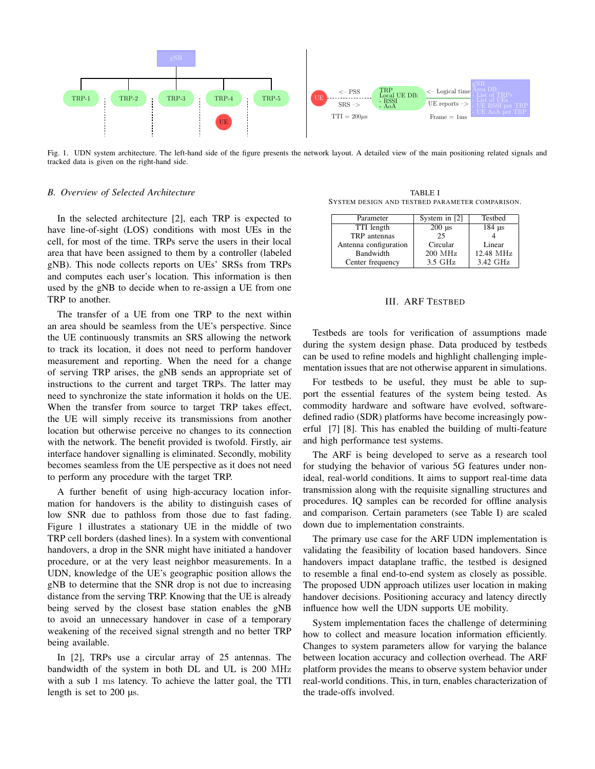

Fig. 1. UDN system architecture. The left-hand side of the figure presents the network layout. A detailed view of the main positioning related signals and tracked data is given on the right-hand side.

# *B. Overview of Selected Architecture*

In the selected architecture [2], each TRP is expected to have line-of-sight (LOS) conditions with most UEs in the cell, for most of the time. TRPs serve the users in their local area that have been assigned to them by a controller (labeled gNB). This node collects reports on UEs' SRSs from TRPs and computes each user's location. This information is then used by the gNB to decide when to re-assign a UE from one TRP to another.

The transfer of a UE from one TRP to the next within an area should be seamless from the UE's perspective. Since the UE continuously transmits an SRS allowing the network to track its location, it does not need to perform handover measurement and reporting. When the need for a change of serving TRP arises, the gNB sends an appropriate set of instructions to the current and target TRPs. The latter may need to synchronize the state information it holds on the UE. When the transfer from source to target TRP takes effect, the UE will simply receive its transmissions from another location but otherwise perceive no changes to its connection with the network. The benefit provided is twofold. Firstly, air interface handover signalling is eliminated. Secondly, mobility becomes seamless from the UE perspective as it does not need to perform any procedure with the target TRP.

A further benefit of using high-accuracy location information for handovers is the ability to distinguish cases of low SNR due to pathloss from those due to fast fading. Figure 1 illustrates a stationary UE in the middle of two TRP cell borders (dashed lines). In a system with conventional handovers, a drop in the SNR might have initiated a handover procedure, or at the very least neighbor measurements. In a UDN, knowledge of the UE's geographic position allows the gNB to determine that the SNR drop is not due to increasing distance from the serving TRP. Knowing that the UE is already being served by the closest base station enables the gNB to avoid an unnecessary handover in case of a temporary weakening of the received signal strength and no better TRP being available.

In [2], TRPs use a circular array of 25 antennas. The bandwidth of the system in both DL and UL is 200 MHz with a sub 1 ms latency. To achieve the latter goal, the TTI length is set to 200 µs.

TABLE I SYSTEM DESIGN AND TESTBED PARAMETER COMPARISON.

| Parameter             | System in [2]             | Testbed                   |
|-----------------------|---------------------------|---------------------------|
| TTI length            | $200 \text{ }\mu\text{s}$ | $184 \text{ }\mu\text{s}$ |
| TRP antennas          | 25                        |                           |
| Antenna configuration | Circular                  | Linear                    |
| Bandwidth             | 200 MHz                   | 12.48 MHz                 |
| Center frequency      | $3.5$ GHz                 | 3.42 GHz                  |

#### III. ARF TESTBED

Testbeds are tools for verification of assumptions made during the system design phase. Data produced by testbeds can be used to refine models and highlight challenging implementation issues that are not otherwise apparent in simulations.

For testbeds to be useful, they must be able to support the essential features of the system being tested. As commodity hardware and software have evolved, softwaredefined radio (SDR) platforms have become increasingly powerful [7] [8]. This has enabled the building of multi-feature and high performance test systems.

The ARF is being developed to serve as a research tool for studying the behavior of various 5G features under nonideal, real-world conditions. It aims to support real-time data transmission along with the requisite signalling structures and procedures. IQ samples can be recorded for offline analysis and comparison. Certain parameters (see Table I) are scaled down due to implementation constraints.

The primary use case for the ARF UDN implementation is validating the feasibility of location based handovers. Since handovers impact dataplane traffic, the testbed is designed to resemble a final end-to-end system as closely as possible. The proposed UDN approach utilizes user location in making handover decisions. Positioning accuracy and latency directly influence how well the UDN supports UE mobility.

System implementation faces the challenge of determining how to collect and measure location information efficiently. Changes to system parameters allow for varying the balance between location accuracy and collection overhead. The ARF platform provides the means to observe system behavior under real-world conditions. This, in turn, enables characterization of the trade-offs involved.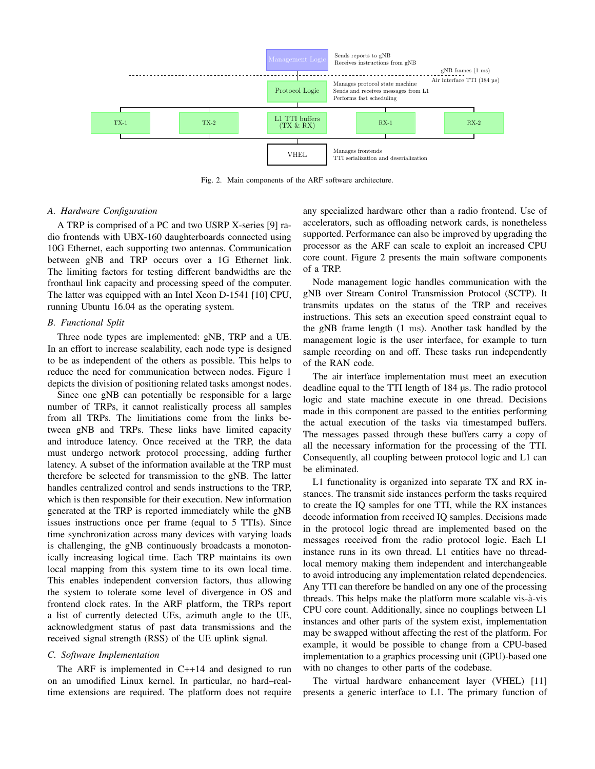

Fig. 2. Main components of the ARF software architecture.

# *A. Hardware Configuration*

A TRP is comprised of a PC and two USRP X-series [9] radio frontends with UBX-160 daughterboards connected using 10G Ethernet, each supporting two antennas. Communication between gNB and TRP occurs over a 1G Ethernet link. The limiting factors for testing different bandwidths are the fronthaul link capacity and processing speed of the computer. The latter was equipped with an Intel Xeon D-1541 [10] CPU, running Ubuntu 16.04 as the operating system.

#### *B. Functional Split*

Three node types are implemented: gNB, TRP and a UE. In an effort to increase scalability, each node type is designed to be as independent of the others as possible. This helps to reduce the need for communication between nodes. Figure 1 depicts the division of positioning related tasks amongst nodes.

Since one gNB can potentially be responsible for a large number of TRPs, it cannot realistically process all samples from all TRPs. The limitiations come from the links between gNB and TRPs. These links have limited capacity and introduce latency. Once received at the TRP, the data must undergo network protocol processing, adding further latency. A subset of the information available at the TRP must therefore be selected for transmission to the gNB. The latter handles centralized control and sends instructions to the TRP, which is then responsible for their execution. New information generated at the TRP is reported immediately while the gNB issues instructions once per frame (equal to 5 TTIs). Since time synchronization across many devices with varying loads is challenging, the gNB continuously broadcasts a monotonically increasing logical time. Each TRP maintains its own local mapping from this system time to its own local time. This enables independent conversion factors, thus allowing the system to tolerate some level of divergence in OS and frontend clock rates. In the ARF platform, the TRPs report a list of currently detected UEs, azimuth angle to the UE, acknowledgment status of past data transmissions and the received signal strength (RSS) of the UE uplink signal.

# *C. Software Implementation*

The ARF is implemented in C++14 and designed to run on an umodified Linux kernel. In particular, no hard–realtime extensions are required. The platform does not require any specialized hardware other than a radio frontend. Use of accelerators, such as offloading network cards, is nonetheless supported. Performance can also be improved by upgrading the processor as the ARF can scale to exploit an increased CPU core count. Figure 2 presents the main software components of a TRP.

Node management logic handles communication with the gNB over Stream Control Transmission Protocol (SCTP). It transmits updates on the status of the TRP and receives instructions. This sets an execution speed constraint equal to the gNB frame length (1 ms). Another task handled by the management logic is the user interface, for example to turn sample recording on and off. These tasks run independently of the RAN code.

The air interface implementation must meet an execution deadline equal to the TTI length of 184 µs. The radio protocol logic and state machine execute in one thread. Decisions made in this component are passed to the entities performing the actual execution of the tasks via timestamped buffers. The messages passed through these buffers carry a copy of all the necessary information for the processing of the TTI. Consequently, all coupling between protocol logic and L1 can be eliminated.

L1 functionality is organized into separate TX and RX instances. The transmit side instances perform the tasks required to create the IQ samples for one TTI, while the RX instances decode information from received IQ samples. Decisions made in the protocol logic thread are implemented based on the messages received from the radio protocol logic. Each L1 instance runs in its own thread. L1 entities have no threadlocal memory making them independent and interchangeable to avoid introducing any implementation related dependencies. Any TTI can therefore be handled on any one of the processing threads. This helps make the platform more scalable vis-à-vis CPU core count. Additionally, since no couplings between L1 instances and other parts of the system exist, implementation may be swapped without affecting the rest of the platform. For example, it would be possible to change from a CPU-based implementation to a graphics processing unit (GPU)-based one with no changes to other parts of the codebase.

The virtual hardware enhancement layer (VHEL) [11] presents a generic interface to L1. The primary function of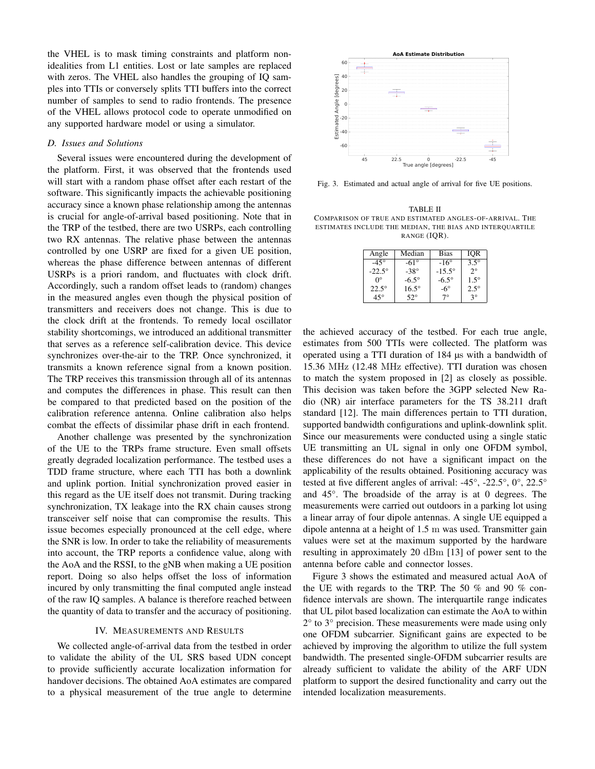the VHEL is to mask timing constraints and platform nonidealities from L1 entities. Lost or late samples are replaced with zeros. The VHEL also handles the grouping of IQ samples into TTIs or conversely splits TTI buffers into the correct number of samples to send to radio frontends. The presence of the VHEL allows protocol code to operate unmodified on any supported hardware model or using a simulator.

#### *D. Issues and Solutions*

Several issues were encountered during the development of the platform. First, it was observed that the frontends used will start with a random phase offset after each restart of the software. This significantly impacts the achievable positioning accuracy since a known phase relationship among the antennas is crucial for angle-of-arrival based positioning. Note that in the TRP of the testbed, there are two USRPs, each controlling two RX antennas. The relative phase between the antennas controlled by one USRP are fixed for a given UE position, whereas the phase difference between antennas of different USRPs is a priori random, and fluctuates with clock drift. Accordingly, such a random offset leads to (random) changes in the measured angles even though the physical position of transmitters and receivers does not change. This is due to the clock drift at the frontends. To remedy local oscillator stability shortcomings, we introduced an additional transmitter that serves as a reference self-calibration device. This device synchronizes over-the-air to the TRP. Once synchronized, it transmits a known reference signal from a known position. The TRP receives this transmission through all of its antennas and computes the differences in phase. This result can then be compared to that predicted based on the position of the calibration reference antenna. Online calibration also helps combat the effects of dissimilar phase drift in each frontend. Secondary and the transmistation in the transmistation of the transmistation of the transmistation of the transmistation of the transmission of the transmission of the transmission of the transmission of the transmission

Another challenge was presented by the synchronization of the UE to the TRPs frame structure. Even small offsets greatly degraded localization performance. The testbed uses a TDD frame structure, where each TTI has both a downlink and uplink portion. Initial synchronization proved easier in this regard as the UE itself does not transmit. During tracking synchronization, TX leakage into the RX chain causes strong transceiver self noise that can compromise the results. This issue becomes especially pronounced at the cell edge, where the SNR is low. In order to take the reliability of measurements into account, the TRP reports a confidence value, along with the AoA and the RSSI, to the gNB when making a UE position report. Doing so also helps offset the loss of information incured by only transmitting the final computed angle instead of the raw IQ samples. A balance is therefore reached between the quantity of data to transfer and the accuracy of positioning.

## IV. MEASUREMENTS AND RESULTS

We collected angle-of-arrival data from the testbed in order to validate the ability of the UL SRS based UDN concept to provide sufficiently accurate localization information for handover decisions. The obtained AoA estimates are compared



Fig. 3. Estimated and actual angle of arrival for five UE positions.

TABLE II COMPARISON OF TRUE AND ESTIMATED ANGLES-OF-ARRIVAL. THE ESTIMATES INCLUDE THE MEDIAN, THE BIAS AND INTERQUARTILE RANGE (IQR).

| Angle         | Median       | <b>Bias</b>     | IOR           |
|---------------|--------------|-----------------|---------------|
| $-45^\circ$   | $-61^\circ$  | $-16^\circ$     | $3.5^{\circ}$ |
| $-22.5^\circ$ | $-38^\circ$  | $-15.5^{\circ}$ | $2^{\circ}$   |
| Ω°            | $-6.5^\circ$ | $-6.5^\circ$    | $1.5^\circ$   |
| $22.5^\circ$  | $16.5^\circ$ | -6 $^{\circ}$   | $2.5^\circ$   |
| $45^{\circ}$  | $52^{\circ}$ | 79              | ٩°            |

the achieved accuracy of the testbed. For each true angle, estimates from 500 TTIs were collected. The platform was operated using a TTI duration of 184 µs with a bandwidth of 15.36 MHz (12.48 MHz effective). TTI duration was chosen to match the system proposed in [2] as closely as possible. This decision was taken before the 3GPP selected New Radio (NR) air interface parameters for the TS 38.211 draft standard [12]. The main differences pertain to TTI duration, supported bandwidth configurations and uplink-downlink split. Since our measurements were conducted using a single static UE transmitting an UL signal in only one OFDM symbol, these differences do not have a significant impact on the applicability of the results obtained. Positioning accuracy was tested at five different angles of arrival: -45°, -22.5°, 0°, 22.5° and 45°. The broadside of the array is at 0 degrees. The measurements were carried out outdoors in a parking lot using a linear array of four dipole antennas. A single UE equipped a dipole antenna at a height of 1.5 m was used. Transmitter gain values were set at the maximum supported by the hardware resulting in approximately 20 dBm [13] of power sent to the antenna before cable and connector losses.

Figure 3 shows the estimated and measured actual AoA of the UE with regards to the TRP. The 50 % and 90 % confidence intervals are shown. The interquartile range indicates that UL pilot based localization can estimate the AoA to within 2° to 3° precision. These measurements were made using only one OFDM subcarrier. Significant gains are expected to be achieved by improving the algorithm to utilize the full system bandwidth. The presented single-OFDM subcarrier results are already sufficient to validate the ability of the ARF UDN platform to support the desired functionality and carry out the intended localization measurements.